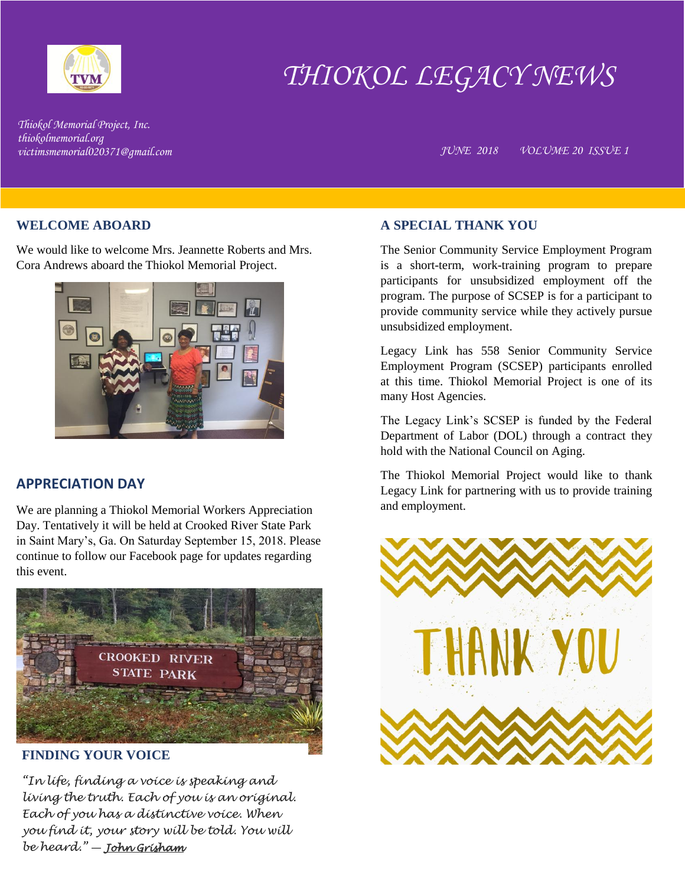

# *THIOKOL LEGACY NEWS*

*Thiokol Memorial Project, Inc. thiokolmemorial.org*

*victimsmemorial020371@gmail.com JUNE 2018 VOLUME 20 ISSUE 1*

### **WELCOME ABOARD**

We would like to welcome Mrs. Jeannette Roberts and Mrs. Cora Andrews aboard the Thiokol Memorial Project.



# **APPRECIATION DAY**

We are planning a Thiokol Memorial Workers Appreciation Day. Tentatively it will be held at Crooked River State Park in Saint Mary's, Ga. On Saturday September 15, 2018. Please continue to follow our Facebook page for updates regarding this event.



# **FINDING YOUR VOICE**

*"In life, finding a voice is speaking and living the truth. Each of you is an original. Each of you has a distinctive voice. When you find it, your story will be told. You will be heard."* ― *[John Grisham](https://www.goodreads.com/author/show/721.John_Grisham)*

### **A SPECIAL THANK YOU**

The Senior Community Service Employment Program is a short-term, work-training program to prepare participants for unsubsidized employment off the program. The purpose of SCSEP is for a participant to provide community service while they actively pursue unsubsidized employment.

Legacy Link has 558 Senior Community Service Employment Program (SCSEP) participants enrolled at this time. Thiokol Memorial Project is one of its many Host Agencies.

The Legacy Link's SCSEP is funded by the Federal Department of Labor (DOL) through a contract they hold with the National Council on Aging.

The Thiokol Memorial Project would like to thank Legacy Link for partnering with us to provide training and employment.